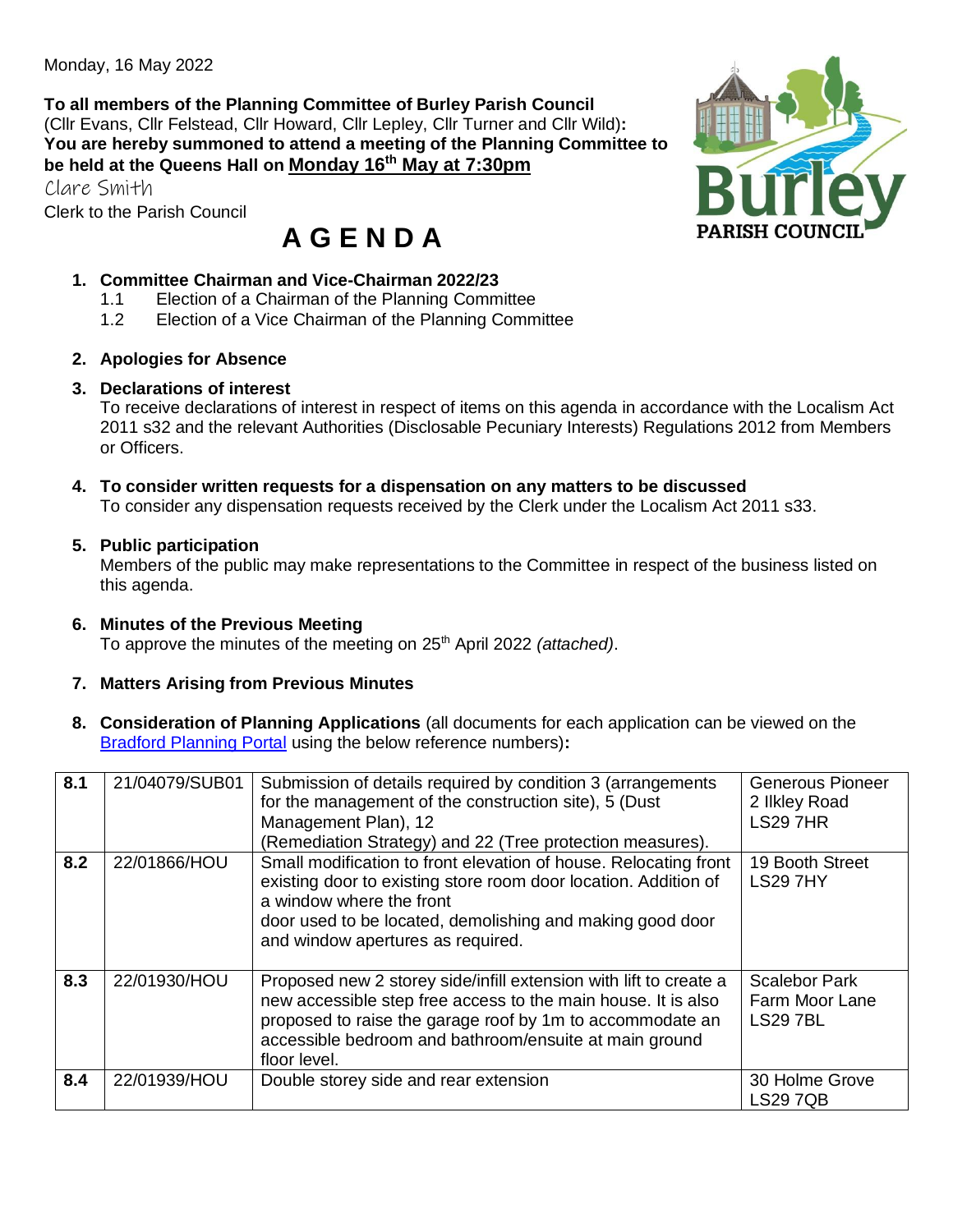Monday, 16 May 2022

**To all members of the Planning Committee of Burley Parish Council** (Cllr Evans, Cllr Felstead, Cllr Howard, Cllr Lepley, Cllr Turner and Cllr Wild)**: You are hereby summoned to attend a meeting of the Planning Committee to be held at the Queens Hall on Monday 16th May at 7:30pm**

Clare Smith

Clerk to the Parish Council

# **A G E N D A**

#### **1. Committee Chairman and Vice-Chairman 2022/23**

- 1.1 Election of a Chairman of the Planning Committee
- 1.2 Election of a Vice Chairman of the Planning Committee

#### **2. Apologies for Absence**

## **3. Declarations of interest**

To receive declarations of interest in respect of items on this agenda in accordance with the Localism Act 2011 s32 and the relevant Authorities (Disclosable Pecuniary Interests) Regulations 2012 from Members or Officers.

#### **4. To consider written requests for a dispensation on any matters to be discussed**

To consider any dispensation requests received by the Clerk under the Localism Act 2011 s33.

#### **5. Public participation**

Members of the public may make representations to the Committee in respect of the business listed on this agenda.

#### **6. Minutes of the Previous Meeting**

To approve the minutes of the meeting on 25th April 2022 *(attached)*.

## **7. Matters Arising from Previous Minutes**

**8. Consideration of Planning Applications** (all documents for each application can be viewed on the [Bradford Planning Portal](https://planning.bradford.gov.uk/online-applications/) using the below reference numbers)**:**

| 8.1 | 21/04079/SUB01 | Submission of details required by condition 3 (arrangements<br>for the management of the construction site), 5 (Dust<br>Management Plan), 12<br>(Remediation Strategy) and 22 (Tree protection measures).                                                                 | <b>Generous Pioneer</b><br>2 Ilkley Road<br><b>LS29 7HR</b> |
|-----|----------------|---------------------------------------------------------------------------------------------------------------------------------------------------------------------------------------------------------------------------------------------------------------------------|-------------------------------------------------------------|
| 8.2 | 22/01866/HOU   | Small modification to front elevation of house. Relocating front<br>existing door to existing store room door location. Addition of<br>a window where the front<br>door used to be located, demolishing and making good door<br>and window apertures as required.         | 19 Booth Street<br><b>LS297HY</b>                           |
| 8.3 | 22/01930/HOU   | Proposed new 2 storey side/infill extension with lift to create a<br>new accessible step free access to the main house. It is also<br>proposed to raise the garage roof by 1m to accommodate an<br>accessible bedroom and bathroom/ensuite at main ground<br>floor level. | <b>Scalebor Park</b><br>Farm Moor Lane<br><b>LS297BL</b>    |
| 8.4 | 22/01939/HOU   | Double storey side and rear extension                                                                                                                                                                                                                                     | 30 Holme Grove<br><b>LS29 7QB</b>                           |